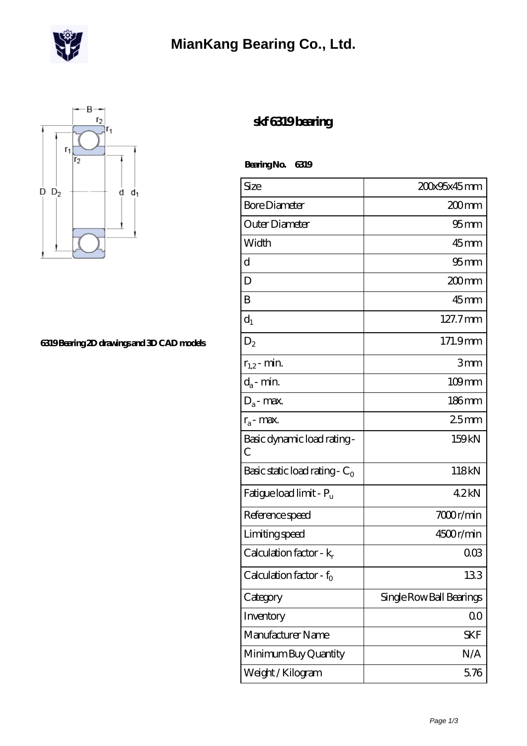

## **[MianKang Bearing Co., Ltd.](https://m.deadly30.com)**



## **[6319 Bearing 2D drawings and 3D CAD models](https://m.deadly30.com/pic-65224318.html)**

## **[skf 6319 bearing](https://m.deadly30.com/skf-6319-bearing/)**

 **Bearing No. 6319**

| Size                                | 200x95x45mm              |
|-------------------------------------|--------------------------|
| <b>Bore Diameter</b>                | 200 mm                   |
| Outer Diameter                      | 95 <sub>mm</sub>         |
| Width                               | 45mm                     |
| d                                   | 95 <sub>mm</sub>         |
| D                                   | 200mm                    |
| Β                                   | 45mm                     |
| $d_1$                               | 127.7mm                  |
| $\mathrm{D}_2$                      | 171.9mm                  |
| $r_{1,2}$ - min.                    | 3mm                      |
| $d_a$ - min.                        | $109$ mm                 |
| $D_a$ - max.                        | 186mm                    |
| $r_a$ - max.                        | 25mm                     |
| Basic dynamic load rating -<br>C    | 159kN                    |
| Basic static load rating - $C_0$    | 118kN                    |
| Fatigue load limit - P <sub>u</sub> | 42kN                     |
| Reference speed                     | 7000r/min                |
| Limiting speed                      | 4500r/min                |
| Calculation factor - $k_r$          | $00\Omega$               |
| Calculation factor - f <sub>o</sub> | 133                      |
| Category                            | Single Row Ball Bearings |
| Inventory                           | $00\,$                   |
| Manufacturer Name                   | SKF                      |
| Minimum Buy Quantity                | N/A                      |
| Weight / Kilogram                   | 5.76                     |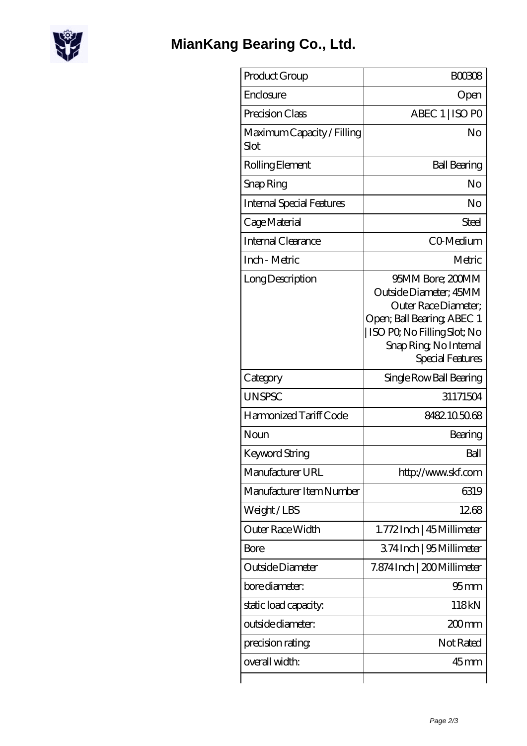

| Product Group                      | <b>BOO308</b>                                                                                                                                                                 |
|------------------------------------|-------------------------------------------------------------------------------------------------------------------------------------------------------------------------------|
| Enclosure                          | Open                                                                                                                                                                          |
| Precision Class                    | ABEC 1   ISO PO                                                                                                                                                               |
| Maximum Capacity / Filling<br>Slot | No                                                                                                                                                                            |
| Rolling Element                    | <b>Ball Bearing</b>                                                                                                                                                           |
| Snap Ring                          | No                                                                                                                                                                            |
| <b>Internal Special Features</b>   | No                                                                                                                                                                            |
| Cage Material                      | Steel                                                                                                                                                                         |
| <b>Internal Clearance</b>          | CO-Medium                                                                                                                                                                     |
| Inch - Metric                      | Metric                                                                                                                                                                        |
| Long Description                   | 95MM Bore; 200MM<br>Outside Diameter; 45MM<br>Outer Race Diameter:<br>Open; Ball Bearing; ABEC 1<br>ISO PO, No Filling Slot; No<br>Snap Ring, No Internal<br>Special Features |
| Category                           | Single Row Ball Bearing                                                                                                                                                       |
| <b>UNSPSC</b>                      | 31171504                                                                                                                                                                      |
| Harmonized Tariff Code             | 8482.105068                                                                                                                                                                   |
| Noun                               | Bearing                                                                                                                                                                       |
| Keyword String                     | Ball                                                                                                                                                                          |
| Manufacturer URL                   | http://www.skf.com                                                                                                                                                            |
| Manufacturer Item Number           | 6319                                                                                                                                                                          |
| Weight/LBS                         | 1268                                                                                                                                                                          |
| <b>Outer Race Width</b>            | 1.772Inch   45 Millimeter                                                                                                                                                     |
| Bore                               | 374Inch   95 Millimeter                                                                                                                                                       |
| Outside Diameter                   | 7.874 Inch   200 Millimeter                                                                                                                                                   |
| bore diameter:                     | 95 <sub>mm</sub>                                                                                                                                                              |
| static load capacity.              | 118kN                                                                                                                                                                         |
| outside diameter:                  | $200$ mm                                                                                                                                                                      |
| precision rating                   | Not Rated                                                                                                                                                                     |
| overall width:                     | $45$ mm                                                                                                                                                                       |
|                                    |                                                                                                                                                                               |